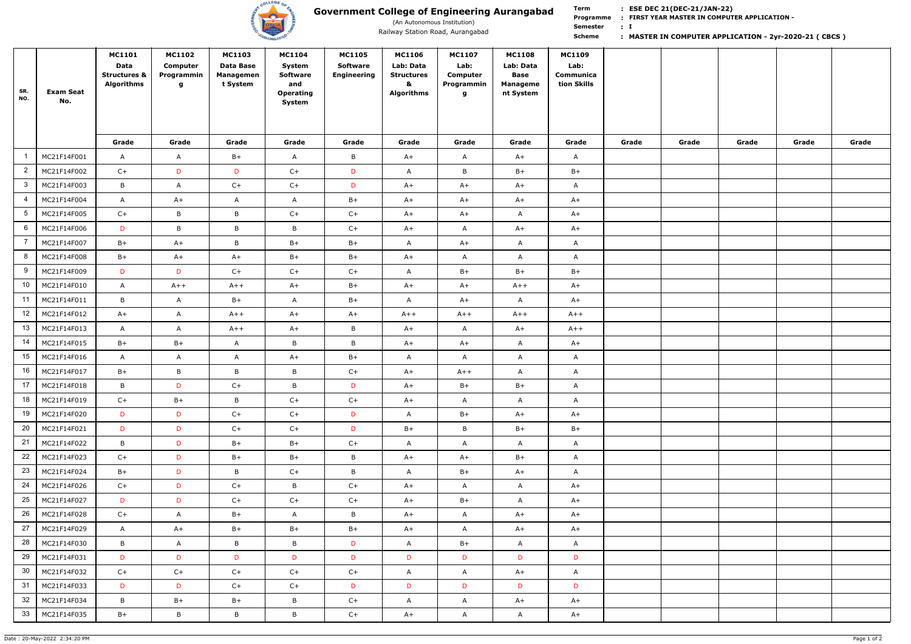

(An Autonomous Institution)

**Term Scheme FIRST YEAR MASTER IN COMPUTER APPLICATION - Programme : I : Semester :**

| SR.<br>NO.              | <b>Exam Seat</b><br>No. | <b>MC1101</b><br>Data<br><b>Structures &amp;</b><br><b>Algorithms</b> | <b>MC1102</b><br>Computer<br>Programmin<br>g | <b>MC1103</b><br>Data Base<br><b>Managemen</b><br>t System | <b>MC1104</b><br>System<br><b>Software</b><br>and<br>Operating<br>System | <b>MC1105</b><br><b>Software</b><br><b>Engineering</b> | <b>MC1106</b><br>Lab: Data<br><b>Structures</b><br>&<br><b>Algorithms</b> | <b>MC1107</b><br>Lab:<br>Computer<br>Programmin<br>g | <b>MC1108</b><br>Lab: Data<br><b>Base</b><br><b>Manageme</b><br>nt System | <b>MC1109</b><br>Lab:<br>Communica<br>tion Skills |       |       |       |       |       |
|-------------------------|-------------------------|-----------------------------------------------------------------------|----------------------------------------------|------------------------------------------------------------|--------------------------------------------------------------------------|--------------------------------------------------------|---------------------------------------------------------------------------|------------------------------------------------------|---------------------------------------------------------------------------|---------------------------------------------------|-------|-------|-------|-------|-------|
|                         |                         | Grade                                                                 | Grade                                        | Grade                                                      | Grade                                                                    | Grade                                                  | Grade                                                                     | Grade                                                | Grade                                                                     | Grade                                             | Grade | Grade | Grade | Grade | Grade |
|                         | MC21F14F001             | $\mathsf{A}$                                                          | $\mathsf{A}$                                 | $B+$                                                       | $\mathsf{A}$                                                             | $\mathsf{B}$                                           | $A+$                                                                      | A                                                    | $A+$                                                                      | $\mathsf{A}$                                      |       |       |       |       |       |
| $\overline{2}$          | MC21F14F002             | $C+$                                                                  | D                                            | D                                                          | $C+$                                                                     | D                                                      | A                                                                         | $\sf B$                                              | $B+$                                                                      | $B+$                                              |       |       |       |       |       |
| $\overline{\mathbf{3}}$ | MC21F14F003             | $\mathsf{B}$                                                          | A                                            | $C+$                                                       | $C+$                                                                     | D                                                      | $A+$                                                                      | $A+$                                                 | $A+$                                                                      | $\mathsf{A}$                                      |       |       |       |       |       |
| $\overline{4}$          | MC21F14F004             | $\mathsf{A}$                                                          | $A+$                                         | $\mathsf{A}$                                               | $\mathsf{A}$                                                             | $B+$                                                   | $A+$                                                                      | $A+$                                                 | $A+$                                                                      | $A+$                                              |       |       |       |       |       |
| $5\phantom{.0}$         | MC21F14F005             | $C+$                                                                  | $\mathsf B$                                  | B                                                          | $C+$                                                                     | $C+$                                                   | $A+$                                                                      | $A+$                                                 | $\mathsf{A}$                                                              | $A+$                                              |       |       |       |       |       |
| 6                       | MC21F14F006             | D                                                                     | B                                            | B                                                          | $\mathsf{B}$                                                             | $C+$                                                   | $A+$                                                                      | A                                                    | $A+$                                                                      | $A+$                                              |       |       |       |       |       |
| $\overline{7}$          | MC21F14F007             | $B+$                                                                  | $A+$                                         | B                                                          | $B+$                                                                     | $B+$                                                   | A                                                                         | $A+$                                                 | $\mathsf{A}$                                                              | $\mathsf{A}$                                      |       |       |       |       |       |
| 8                       | MC21F14F008             | $B+$                                                                  | $A+$                                         | $A+$                                                       | $B+$                                                                     | $B+$                                                   | $A+$                                                                      | A                                                    | $\mathsf{A}$                                                              | $\mathsf{A}$                                      |       |       |       |       |       |
| 9                       | MC21F14F009             | D                                                                     | D                                            | $C+$                                                       | $C+$                                                                     | $C+$                                                   | A                                                                         | $B+$                                                 | $B+$                                                                      | $B+$                                              |       |       |       |       |       |
| 10                      | MC21F14F010             | $\mathsf{A}$                                                          | $A++$                                        | $A++$                                                      | $A+$                                                                     | $B+$                                                   | $A+$                                                                      | $A+$                                                 | $A++$                                                                     | $A+$                                              |       |       |       |       |       |
| 11                      | MC21F14F011             | $\mathsf{B}$                                                          | A                                            | $B+$                                                       | $\mathsf{A}$                                                             | $B+$                                                   | A                                                                         | $A+$                                                 | $\mathsf{A}$                                                              | $A+$                                              |       |       |       |       |       |
| 12                      | MC21F14F012             | $A+$                                                                  | $\mathsf{A}$                                 | $A++$                                                      | $A+$                                                                     | $A+$                                                   | $A++$                                                                     | $A++$                                                | $A++$                                                                     | $A++$                                             |       |       |       |       |       |
| 13                      | MC21F14F013             | $\mathsf{A}$                                                          | $\mathsf{A}$                                 | $A++$                                                      | $A+$                                                                     | $\mathsf{B}$                                           | $A+$                                                                      | $\mathsf{A}$                                         | $A+$                                                                      | $A++$                                             |       |       |       |       |       |
| 14                      | MC21F14F015             | $B+$                                                                  | $B+$                                         | $\mathsf{A}$                                               | B                                                                        | $\mathsf B$                                            | $A+$                                                                      | $A+$                                                 | $\mathsf{A}$                                                              | $A+$                                              |       |       |       |       |       |
| 15                      | MC21F14F016             | $\mathsf{A}$                                                          | A                                            | $\mathsf{A}$                                               | $A+$                                                                     | $B+$                                                   | A                                                                         | A                                                    | $\mathsf{A}$                                                              | $\mathsf{A}$                                      |       |       |       |       |       |
| 16                      | MC21F14F017             | $B+$                                                                  | $\mathsf B$                                  | B                                                          | B                                                                        | $C+$                                                   | $A+$                                                                      | $A++$                                                | $\mathsf{A}$                                                              | $\mathsf{A}$                                      |       |       |       |       |       |
| 17                      | MC21F14F018             | B                                                                     | D                                            | $C+$                                                       | B                                                                        | D                                                      | $A+$                                                                      | $B+$                                                 | $B+$                                                                      | A                                                 |       |       |       |       |       |
| 18                      | MC21F14F019             | $C+$                                                                  | $B+$                                         | B                                                          | $C+$                                                                     | $C+$                                                   | $A+$                                                                      | $\mathsf{A}$                                         | $\mathsf{A}$                                                              | $\mathsf{A}$                                      |       |       |       |       |       |
| 19                      | MC21F14F020             | D                                                                     | D                                            | $C+$                                                       | $C+$                                                                     | D                                                      | A                                                                         | $B+$                                                 | $A+$                                                                      | $A+$                                              |       |       |       |       |       |
| 20                      | MC21F14F021             | D                                                                     | D                                            | $C+$                                                       | $C+$                                                                     | D                                                      | $B+$                                                                      | B                                                    | $B+$                                                                      | $B+$                                              |       |       |       |       |       |
| 21                      | MC21F14F022             | $\mathsf{B}$                                                          | D                                            | $B+$                                                       | $B+$                                                                     | $C+$                                                   | $\mathsf{A}$                                                              | $\mathsf{A}$                                         | $\mathsf{A}$                                                              | $\mathsf{A}$                                      |       |       |       |       |       |
| 22                      | MC21F14F023             | $C+$                                                                  | D                                            | $B+$                                                       | $B+$                                                                     | $\mathsf{B}$                                           | $A+$                                                                      | $A+$                                                 | $B+$                                                                      | $\mathsf{A}$                                      |       |       |       |       |       |
| 23                      | MC21F14F024             | $B+$                                                                  | D                                            | B                                                          | $C+$                                                                     | $\mathsf{B}$                                           | $\mathsf{A}$                                                              | $B+$                                                 | $A+$                                                                      | $\mathsf{A}$                                      |       |       |       |       |       |
| 24                      | MC21F14F026             | $C+$                                                                  | D                                            | $C+$                                                       | $\mathsf{B}$                                                             | $C+$                                                   | $A+$                                                                      | A                                                    | $\mathsf{A}$                                                              | $A+$                                              |       |       |       |       |       |
| 25                      | MC21F14F027             | D                                                                     | D                                            | $C+$                                                       | $C+$                                                                     | $C+$                                                   | $A+$                                                                      | $B+$                                                 | $\mathsf{A}$                                                              | $A+$                                              |       |       |       |       |       |
| 26                      | MC21F14F028             | $C+$                                                                  | $\mathsf{A}$                                 | $B+$                                                       | $\mathsf{A}$                                                             | $\mathsf{B}$                                           | $A+$                                                                      | $\mathsf{A}$                                         | $A+$                                                                      | $A+$                                              |       |       |       |       |       |
| 27                      | MC21F14F029             | $\mathsf{A}$                                                          | $A+$                                         | $B+$                                                       | $B+$                                                                     | $B+$                                                   | $A+$                                                                      | $\mathsf{A}$                                         | $A+$                                                                      | $A+$                                              |       |       |       |       |       |
| 28                      | MC21F14F030             | $\mathsf{B}$                                                          | $\mathsf{A}$                                 | B                                                          | $\mathsf{B}$                                                             | D                                                      | $\mathsf{A}$                                                              | $B+$                                                 | $\mathsf{A}$                                                              | $\mathsf{A}$                                      |       |       |       |       |       |
| 29                      | MC21F14F031             | D                                                                     | D                                            | D                                                          | D                                                                        | D                                                      | D                                                                         | D                                                    | D                                                                         | D                                                 |       |       |       |       |       |
| 30                      | MC21F14F032             | $C+$                                                                  | $C+$                                         | $C+$                                                       | $C+$                                                                     | $C+$                                                   | $\mathsf{A}$                                                              | $\mathsf{A}$                                         | $A+$                                                                      | $\mathsf{A}$                                      |       |       |       |       |       |
| 31                      | MC21F14F033             | D                                                                     | D                                            | $C+$                                                       | $C+$                                                                     | D                                                      | D                                                                         | D                                                    | D                                                                         | D                                                 |       |       |       |       |       |
| 32                      | MC21F14F034             | $\mathsf{B}$                                                          | $B+$                                         | $B+$                                                       | $\mathsf{B}$                                                             | $C+$                                                   | $\mathsf{A}$                                                              | A                                                    | $A+$                                                                      | $A+$                                              |       |       |       |       |       |
| 33                      | MC21F14F035             | $B+$                                                                  | B                                            | B                                                          | $\, {\sf B} \,$                                                          | $C+$                                                   | $A+$                                                                      | A                                                    | A                                                                         | $A+$                                              |       |       |       |       |       |

## Railway Station Road, Aurangabad **1986 Mass and Scheme 1986. In Scheme 1, MASTER IN COMPUTER APPLICATION - 2yr-2020-21 (CBCS)**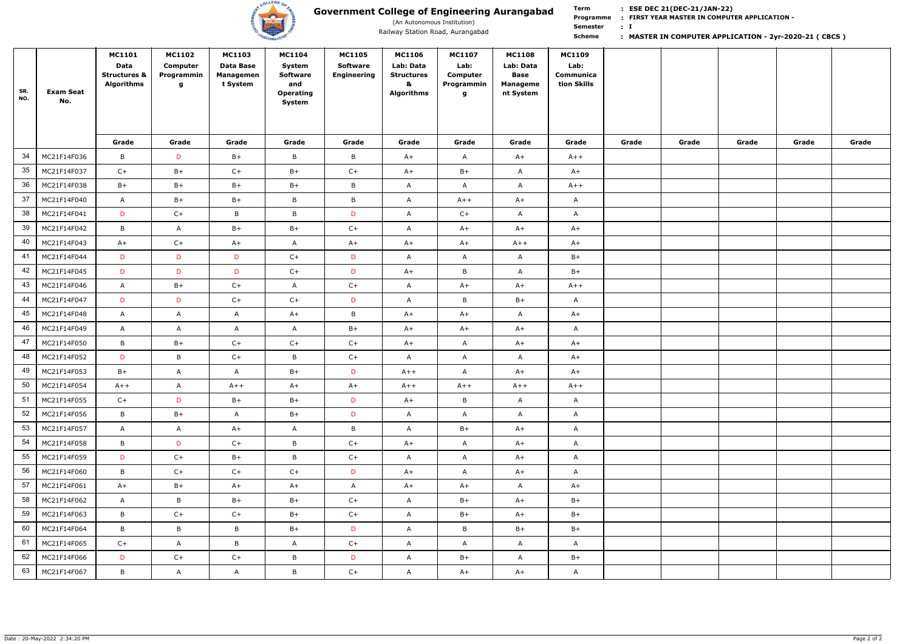

(An Autonomous Institution)

**Term Scheme FIRST YEAR MASTER IN COMPUTER APPLICATION - Programme : I : Semester :**

| SR.<br>NO. | <b>Exam Seat</b><br>No. | <b>MC1101</b><br>Data<br><b>Structures &amp;</b><br><b>Algorithms</b> | <b>MC1102</b><br>Computer<br>Programmin<br>g | <b>MC1103</b><br>Data Base<br>Managemen<br>t System | <b>MC1104</b><br>System<br><b>Software</b><br>and<br>Operating<br>System | <b>MC1105</b><br><b>Software</b><br><b>Engineering</b> | <b>MC1106</b><br>Lab: Data<br><b>Structures</b><br>&<br><b>Algorithms</b> | <b>MC1107</b><br>Lab:<br>Computer<br>Programmin<br>9 | <b>MC1108</b><br>Lab: Data<br><b>Base</b><br><b>Manageme</b><br>nt System | <b>MC1109</b><br>Lab:<br>Communica<br>tion Skills |       |       |       |       |       |
|------------|-------------------------|-----------------------------------------------------------------------|----------------------------------------------|-----------------------------------------------------|--------------------------------------------------------------------------|--------------------------------------------------------|---------------------------------------------------------------------------|------------------------------------------------------|---------------------------------------------------------------------------|---------------------------------------------------|-------|-------|-------|-------|-------|
|            |                         | Grade                                                                 | Grade                                        | Grade                                               | Grade                                                                    | Grade                                                  | Grade                                                                     | Grade                                                | Grade                                                                     | Grade                                             | Grade | Grade | Grade | Grade | Grade |
| 34         | MC21F14F036             | B                                                                     | D                                            | $B+$                                                | $\mathsf{B}$                                                             | $\mathsf B$                                            | $A+$                                                                      | $\mathsf{A}$                                         | $A+$                                                                      | $A++$                                             |       |       |       |       |       |
| 35         | MC21F14F037             | $C+$                                                                  | $B+$                                         | $C+$                                                | $B+$                                                                     | $C+$                                                   | $A+$                                                                      | $B+$                                                 | $\mathsf{A}$                                                              | $A+$                                              |       |       |       |       |       |
| 36         | MC21F14F038             | $B+$                                                                  | $B+$                                         | $B+$                                                | $B+$                                                                     | $\, {\bf B} \,$                                        | $\mathsf{A}$                                                              | $\mathsf{A}$                                         | $\mathsf{A}$                                                              | $A++$                                             |       |       |       |       |       |
| 37         | MC21F14F040             | A                                                                     | $B+$                                         | $B+$                                                | $\mathsf{B}$                                                             | $\, {\sf B}$                                           | $\mathsf{A}$                                                              | $A++$                                                | $A+$                                                                      | $\mathsf{A}$                                      |       |       |       |       |       |
| 38         | MC21F14F041             | D                                                                     | $C+$                                         | $\, {\bf B}$                                        | B                                                                        | D                                                      | $\mathsf{A}$                                                              | $C+$                                                 | $\mathsf{A}$                                                              | $\mathsf{A}$                                      |       |       |       |       |       |
| 39         | MC21F14F042             | B                                                                     | $\mathsf{A}$                                 | $B+$                                                | $B+$                                                                     | $C+$                                                   | $\mathsf{A}$                                                              | $A+$                                                 | $A+$                                                                      | $A+$                                              |       |       |       |       |       |
| 40         | MC21F14F043             | $A+$                                                                  | $C+$                                         | $A+$                                                | A                                                                        | $A+$                                                   | $A+$                                                                      | $A+$                                                 | $A++$                                                                     | $A+$                                              |       |       |       |       |       |
| 41         | MC21F14F044             | D                                                                     | D                                            | D                                                   | $C+$                                                                     | D                                                      | $\mathsf{A}$                                                              | $\mathsf{A}$                                         | $\mathsf{A}$                                                              | $B+$                                              |       |       |       |       |       |
| 42         | MC21F14F045             | D                                                                     | D                                            | D                                                   | $C+$                                                                     | D                                                      | $A+$                                                                      | $\, {\sf B}$                                         | $\mathsf{A}$                                                              | $B+$                                              |       |       |       |       |       |
| 43         | MC21F14F046             | A                                                                     | $B+$                                         | $C+$                                                | $\mathsf{A}$                                                             | $C+$                                                   | $\mathsf{A}$                                                              | $A+$                                                 | $A+$                                                                      | $A++$                                             |       |       |       |       |       |
| 44         | MC21F14F047             | D                                                                     | D                                            | $C+$                                                | $C+$                                                                     | D                                                      | $\mathsf{A}$                                                              | B                                                    | $B+$                                                                      | $\mathsf{A}$                                      |       |       |       |       |       |
| 45         | MC21F14F048             | $\mathsf{A}$                                                          | $\mathsf{A}$                                 | $\mathsf{A}$                                        | $A+$                                                                     | $\mathsf B$                                            | $A+$                                                                      | $A+$                                                 | $\mathsf{A}$                                                              | $A+$                                              |       |       |       |       |       |
| 46         | MC21F14F049             | $\mathsf{A}$                                                          | $\mathsf{A}$                                 | $\mathsf{A}$                                        | $\mathsf{A}$                                                             | $B+$                                                   | $A+$                                                                      | $A+$                                                 | $A+$                                                                      | $\mathsf{A}$                                      |       |       |       |       |       |
| 47         | MC21F14F050             | B                                                                     | $B+$                                         | $C+$                                                | $C+$                                                                     | $C+$                                                   | $A+$                                                                      | $\mathsf{A}$                                         | $A+$                                                                      | $A+$                                              |       |       |       |       |       |
| 48         | MC21F14F052             | D                                                                     | B                                            | $C+$                                                | B                                                                        | $C+$                                                   | $\mathsf{A}$                                                              | $\mathsf{A}$                                         | $\mathsf{A}$                                                              | $A+$                                              |       |       |       |       |       |
| 49         | MC21F14F053             | $B+$                                                                  | $\mathsf{A}$                                 | $\mathsf{A}$                                        | $B+$                                                                     | D                                                      | $A++$                                                                     | $\mathsf{A}$                                         | $A+$                                                                      | $A+$                                              |       |       |       |       |       |
| 50         | MC21F14F054             | $A++$                                                                 | A                                            | $A++$                                               | $A+$                                                                     | $A+$                                                   | $A++$                                                                     | $A++$                                                | $A++$                                                                     | $A++$                                             |       |       |       |       |       |
| 51         | MC21F14F055             | $C+$                                                                  | D                                            | $B+$                                                | $B+$                                                                     | D                                                      | $A+$                                                                      | $\mathsf{B}$                                         | $\mathsf{A}$                                                              | $\mathsf{A}$                                      |       |       |       |       |       |
| 52         | MC21F14F056             | $\mathsf B$                                                           | $B+$                                         | $\mathsf{A}$                                        | $B+$                                                                     | D                                                      | $\mathsf{A}$                                                              | $\mathsf{A}$                                         | $\mathsf{A}$                                                              | $\mathsf{A}$                                      |       |       |       |       |       |
| 53         | MC21F14F057             | $\mathsf{A}$                                                          | $\mathsf{A}$                                 | $A+$                                                | $\mathsf{A}$                                                             | $\mathsf{B}$                                           | $\mathsf{A}$                                                              | $B+$                                                 | $A+$                                                                      | $\mathsf{A}$                                      |       |       |       |       |       |
| 54         | MC21F14F058             | $\mathsf B$                                                           | D                                            | $C+$                                                | $\mathsf B$                                                              | $C+$                                                   | $A+$                                                                      | $\mathsf{A}$                                         | $A+$                                                                      | $\mathsf{A}$                                      |       |       |       |       |       |
| 55         | MC21F14F059             | D                                                                     | $C+$                                         | $B+$                                                | B                                                                        | $C+$                                                   | $\mathsf{A}$                                                              | $\mathsf{A}$                                         | $A+$                                                                      | $\mathsf{A}$                                      |       |       |       |       |       |
| 56         | MC21F14F060             | $\mathsf B$                                                           | $C+$                                         | $C+$                                                | $C+$                                                                     | D                                                      | $A+$                                                                      | $\mathsf{A}$                                         | $A+$                                                                      | $\mathsf{A}$                                      |       |       |       |       |       |
| 57         | MC21F14F061             | $A+$                                                                  | $B+$                                         | $A+$                                                | $A+$                                                                     | $\mathsf{A}$                                           | $A+$                                                                      | $A+$                                                 | $\mathsf{A}$                                                              | $A+$                                              |       |       |       |       |       |
| 58         | MC21F14F062             | $\mathsf{A}$                                                          | B                                            | $B+$                                                | $B+$                                                                     | $C+$                                                   | $\mathsf{A}$                                                              | $B+$                                                 | $A+$                                                                      | $B+$                                              |       |       |       |       |       |
| 59         | MC21F14F063             | $\mathsf B$                                                           | $C+$                                         | $C+$                                                | $B+$                                                                     | $C+$                                                   | A                                                                         | $B+$                                                 | $A+$                                                                      | $B+$                                              |       |       |       |       |       |
| 60         | MC21F14F064             | B                                                                     | B                                            | B                                                   | $B+$                                                                     | D                                                      | $\mathsf{A}$                                                              | $\mathsf{B}$                                         | $B+$                                                                      | $B+$                                              |       |       |       |       |       |
| 61         | MC21F14F065             | $C+$                                                                  | $\mathsf{A}$                                 | B                                                   | $\mathsf{A}$                                                             | $C+$                                                   | $\mathsf{A}$                                                              | $\mathsf{A}$                                         | $\mathsf{A}$                                                              | $\mathsf{A}$                                      |       |       |       |       |       |
| 62         | MC21F14F066             | D                                                                     | $C+$                                         | $C+$                                                | $\mathsf{B}$                                                             | D                                                      | A                                                                         | $B+$                                                 | $\mathsf{A}$                                                              | $B+$                                              |       |       |       |       |       |
| 63         | MC21F14F067             | B                                                                     | $\mathsf{A}$                                 | $\mathsf{A}$                                        | $\mathsf{B}$                                                             | $C+$                                                   | A                                                                         | $A+$                                                 | $A+$                                                                      | $\mathsf{A}$                                      |       |       |       |       |       |

## Railway Station Road, Aurangabad **1986 Mass and Scheme 1986. In Scheme 1, MASTER IN COMPUTER APPLICATION - 2yr-2020-21 (CBCS)**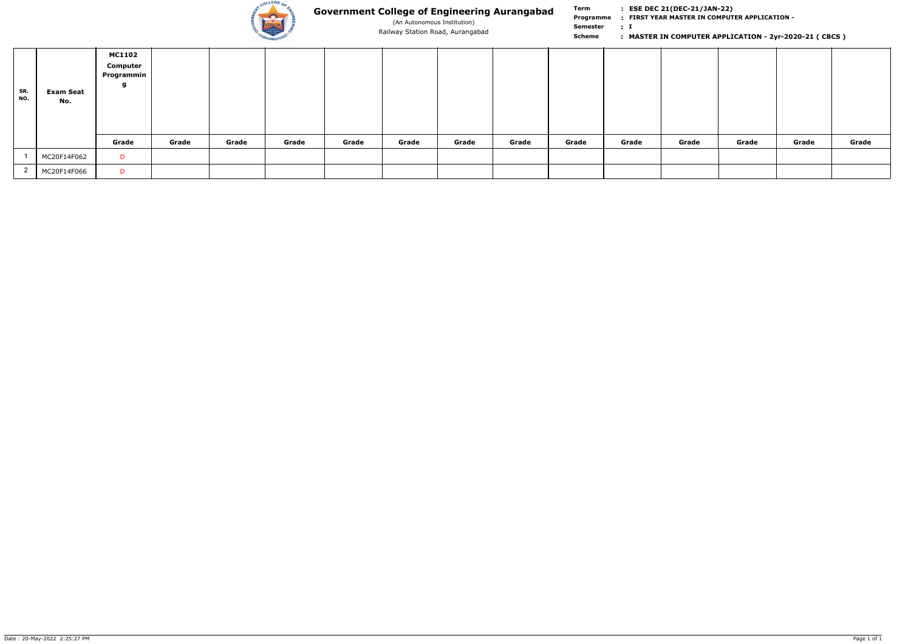

(An Autonomous Institution)

**Term Scheme FIRST YEAR MASTER IN COMPUTER APPLICATION - Programme : I : Semester :**

| SR.<br>NO. | <b>Exam Seat</b><br>No. | <b>MC1102</b><br>Computer<br>Programmin $ $ |       |       |       |       |       |       |       |       |       |       |       |       |       |
|------------|-------------------------|---------------------------------------------|-------|-------|-------|-------|-------|-------|-------|-------|-------|-------|-------|-------|-------|
|            |                         | Grade                                       | Grade | Grade | Grade | Grade | Grade | Grade | Grade | Grade | Grade | Grade | Grade | Grade | Grade |
|            | MC20F14F062             | D                                           |       |       |       |       |       |       |       |       |       |       |       |       |       |
|            | MC20F14F066             | D                                           |       |       |       |       |       |       |       |       |       |       |       |       |       |

## Railway Station Road, Aurangabad **1986 Mass and Scheme 1986. In Scheme 1, MASTER IN COMPUTER APPLICATION - 2yr-2020-21 (CBCS)**